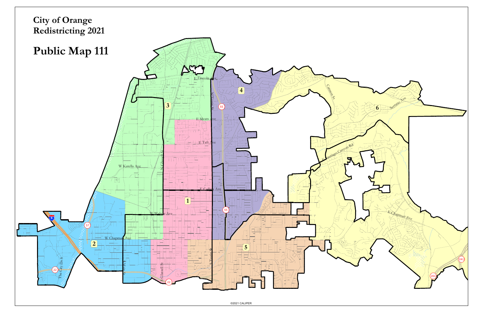